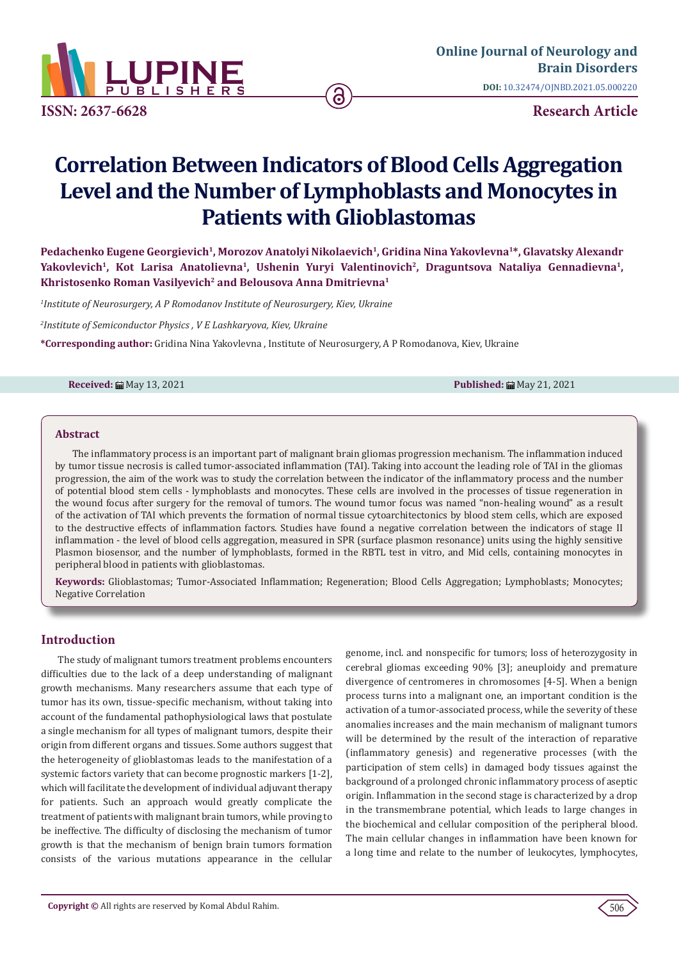

**[Online Journal of Neurology and](https://lupinepublishers.com/neurology-brain-disorders-journal)  Brain Disorders DOI:** [10.32474/OJNBD.2021.05.0002](http://dx.doi.org/10.32474/OJNBD.2021.05.000220)20

# **Correlation Between Indicators of Blood Cells Aggregation Level and the Number of Lymphoblasts and Monocytes in Patients with Glioblastomas**

Pedachenko Eugene Georgievich<sup>1</sup>, Morozov Anatolyi Nikolaevich<sup>1</sup>, Gridina Nina Yakovlevna<sup>1\*</sup>, Glavatsky Alexandr Yakovlevich<sup>1</sup>, Kot Larisa Anatolievna<sup>1</sup>, Ushenin Yuryi Valentinovich<sup>2</sup>, Draguntsova Nataliya Gennadievna<sup>1</sup>, **Khristosenko Roman Vasilyevich2 and Belousova Anna Dmitrievna1**

<sup>1</sup> Institute of Neurosurgery, A P Romodanov Institute of Neurosurgery, Kiev, Ukraine

*2 Institute of Semiconductor Physics , V E Lashkaryova, Kiev, Ukraine*

**\*Corresponding author:** Gridina Nina Yakovlevna , Institute of Neurosurgery, A P Romodanova, Kiev, Ukraine

**Received:** ■ May 13, 2021 **Published:** ■ May 21, 2021

#### **Abstract**

The inflammatory process is an important part of malignant brain gliomas progression mechanism. The inflammation induced by tumor tissue necrosis is called tumor-associated inflammation (TAI). Taking into account the leading role of TAI in the gliomas progression, the aim of the work was to study the correlation between the indicator of the inflammatory process and the number of potential blood stem cells - lymphoblasts and monocytes. These cells are involved in the processes of tissue regeneration in the wound focus after surgery for the removal of tumors. The wound tumor focus was named "non-healing wound" as a result of the activation of TAI which prevents the formation of normal tissue cytoarchitectonics by blood stem cells, which are exposed to the destructive effects of inflammation factors. Studies have found a negative correlation between the indicators of stage II inflammation - the level of blood cells aggregation, measured in SPR (surface plasmon resonance) units using the highly sensitive Plasmon biosensor, and the number of lymphoblasts, formed in the RBTL test in vitro, and Mid cells, containing monocytes in peripheral blood in patients with glioblastomas.

**Keywords:** Glioblastomas; Tumor-Associated Inflammation; Regeneration; Blood Cells Aggregation; Lymphoblasts; Monocytes; Negative Correlation

# **Introduction**

The study of malignant tumors treatment problems encounters difficulties due to the lack of a deep understanding of malignant growth mechanisms. Many researchers assume that each type of tumor has its own, tissue-specific mechanism, without taking into account of the fundamental pathophysiological laws that postulate a single mechanism for all types of malignant tumors, despite their origin from different organs and tissues. Some authors suggest that the heterogeneity of glioblastomas leads to the manifestation of a systemic factors variety that can become prognostic markers [1-2], which will facilitate the development of individual adjuvant therapy for patients. Such an approach would greatly complicate the treatment of patients with malignant brain tumors, while proving to be ineffective. The difficulty of disclosing the mechanism of tumor growth is that the mechanism of benign brain tumors formation consists of the various mutations appearance in the cellular genome, incl. and nonspecific for tumors; loss of heterozygosity in cerebral gliomas exceeding 90% [3]; aneuploidy and premature divergence of centromeres in chromosomes [4-5]. When a benign process turns into a malignant one, an important condition is the activation of a tumor-associated process, while the severity of these anomalies increases and the main mechanism of malignant tumors will be determined by the result of the interaction of reparative (inflammatory genesis) and regenerative processes (with the participation of stem cells) in damaged body tissues against the background of a prolonged chronic inflammatory process of aseptic origin. Inflammation in the second stage is characterized by a drop in the transmembrane potential, which leads to large changes in the biochemical and cellular composition of the peripheral blood. The main cellular changes in inflammation have been known for a long time and relate to the number of leukocytes, lymphocytes,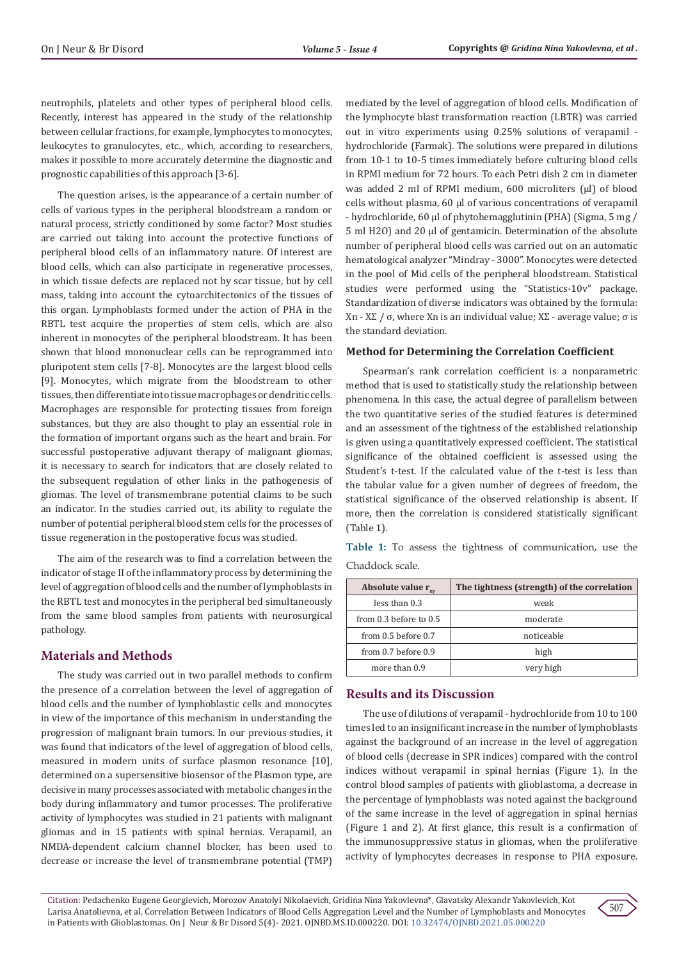neutrophils, platelets and other types of peripheral blood cells. Recently, interest has appeared in the study of the relationship between cellular fractions, for example, lymphocytes to monocytes, leukocytes to granulocytes, etc., which, according to researchers, makes it possible to more accurately determine the diagnostic and prognostic capabilities of this approach [3-6].

The question arises, is the appearance of a certain number of cells of various types in the peripheral bloodstream a random or natural process, strictly conditioned by some factor? Most studies are carried out taking into account the protective functions of peripheral blood cells of an inflammatory nature. Of interest are blood cells, which can also participate in regenerative processes, in which tissue defects are replaced not by scar tissue, but by cell mass, taking into account the cytoarchitectonics of the tissues of this organ. Lymphoblasts formed under the action of PHA in the RBTL test acquire the properties of stem cells, which are also inherent in monocytes of the peripheral bloodstream. It has been shown that blood mononuclear cells can be reprogrammed into pluripotent stem cells [7-8]. Monocytes are the largest blood cells [9]. Monocytes, which migrate from the bloodstream to other tissues, then differentiate into tissue macrophages or dendritic cells. Macrophages are responsible for protecting tissues from foreign substances, but they are also thought to play an essential role in the formation of important organs such as the heart and brain. For successful postoperative adjuvant therapy of malignant gliomas, it is necessary to search for indicators that are closely related to the subsequent regulation of other links in the pathogenesis of gliomas. The level of transmembrane potential claims to be such an indicator. In the studies carried out, its ability to regulate the number of potential peripheral blood stem cells for the processes of tissue regeneration in the postoperative focus was studied.

The aim of the research was to find a correlation between the indicator of stage II of the inflammatory process by determining the level of aggregation of blood cells and the number of lymphoblasts in the RBTL test and monocytes in the peripheral bed simultaneously from the same blood samples from patients with neurosurgical pathology.

# **Materials and Methods**

The study was carried out in two parallel methods to confirm the presence of a correlation between the level of aggregation of blood cells and the number of lymphoblastic cells and monocytes in view of the importance of this mechanism in understanding the progression of malignant brain tumors. In our previous studies, it was found that indicators of the level of aggregation of blood cells, measured in modern units of surface plasmon resonance [10], determined on a supersensitive biosensor of the Plasmon type, are decisive in many processes associated with metabolic changes in the body during inflammatory and tumor processes. The proliferative activity of lymphocytes was studied in 21 patients with malignant gliomas and in 15 patients with spinal hernias. Verapamil, an NMDA-dependent calcium channel blocker, has been used to decrease or increase the level of transmembrane potential (TMP)

mediated by the level of aggregation of blood cells. Modification of the lymphocyte blast transformation reaction (LBTR) was carried out in vitro experiments using 0.25% solutions of verapamil hydrochloride (Farmak). The solutions were prepared in dilutions from 10-1 to 10-5 times immediately before culturing blood cells in RPMI medium for 72 hours. To each Petri dish 2 cm in diameter was added 2 ml of RPMI medium, 600 microliters (μl) of blood cells without plasma, 60 μl of various concentrations of verapamil - hydrochloride, 60 μl of phytohemagglutinin (PHA) (Sigma, 5 mg / 5 ml H2O) and 20 μl of gentamicin. Determination of the absolute number of peripheral blood cells was carried out on an automatic hematological analyzer "Mindray - 3000". Monocytes were detected in the pool of Mid cells of the peripheral bloodstream. Statistical studies were performed using the "Statistics-10v" package. Standardization of diverse indicators was obtained by the formula: Xn - XΣ / σ, where Xn is an individual value; XΣ - average value; σ is the standard deviation.

# **Method for Determining the Correlation Coefficient**

Spearman's rank correlation coefficient is a nonparametric method that is used to statistically study the relationship between phenomena. In this case, the actual degree of parallelism between the two quantitative series of the studied features is determined and an assessment of the tightness of the established relationship is given using a quantitatively expressed coefficient. The statistical significance of the obtained coefficient is assessed using the Student's t-test. If the calculated value of the t-test is less than the tabular value for a given number of degrees of freedom, the statistical significance of the observed relationship is absent. If more, then the correlation is considered statistically significant (Table 1).

**Table 1:** To assess the tightness of communication, use the Chaddock scale.

| Absolute value r           | The tightness (strength) of the correlation |  |
|----------------------------|---------------------------------------------|--|
| less than 0.3              | weak                                        |  |
| from $0.3$ before to $0.5$ | moderate                                    |  |
| from $0.5$ before $0.7$    | noticeable                                  |  |
| from $0.7$ before $0.9$    | high                                        |  |
| more than 0.9              | very high                                   |  |

# **Results and its Discussion**

The use of dilutions of verapamil - hydrochloride from 10 to 100 times led to an insignificant increase in the number of lymphoblasts against the background of an increase in the level of aggregation of blood cells (decrease in SPR indices) compared with the control indices without verapamil in spinal hernias (Figure 1). In the control blood samples of patients with glioblastoma, a decrease in the percentage of lymphoblasts was noted against the background of the same increase in the level of aggregation in spinal hernias (Figure 1 and 2). At first glance, this result is a confirmation of the immunosuppressive status in gliomas, when the proliferative activity of lymphocytes decreases in response to PHA exposure.

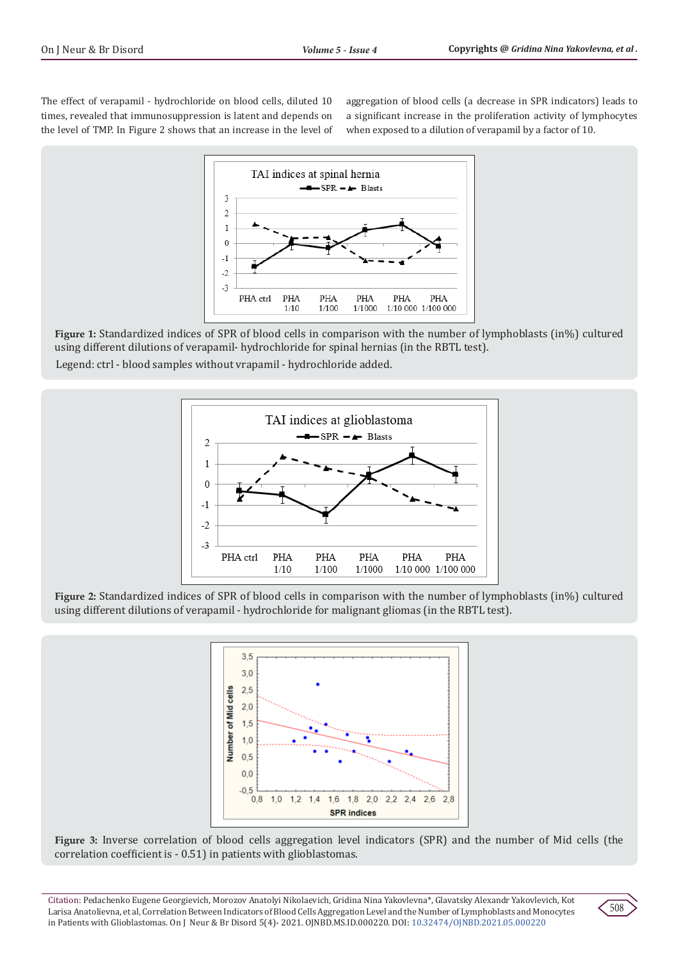The effect of verapamil - hydrochloride on blood cells, diluted 10 times, revealed that immunosuppression is latent and depends on the level of TMP. In Figure 2 shows that an increase in the level of aggregation of blood cells (a decrease in SPR indicators) leads to a significant increase in the proliferation activity of lymphocytes when exposed to a dilution of verapamil by a factor of 10.



**Figure 1:** Standardized indices of SPR of blood cells in comparison with the number of lymphoblasts (in%) cultured using different dilutions of verapamil- hydrochloride for spinal hernias (in the RBTL test).

Legend: ctrl - blood samples without vrapamil - hydrochloride added.



**Figure 2:** Standardized indices of SPR of blood cells in comparison with the number of lymphoblasts (in%) cultured using different dilutions of verapamil - hydrochloride for malignant gliomas (in the RBTL test).



**Figure 3:** Inverse correlation of blood cells aggregation level indicators (SPR) and the number of Mid cells (the correlation coefficient is - 0.51) in patients with glioblastomas.

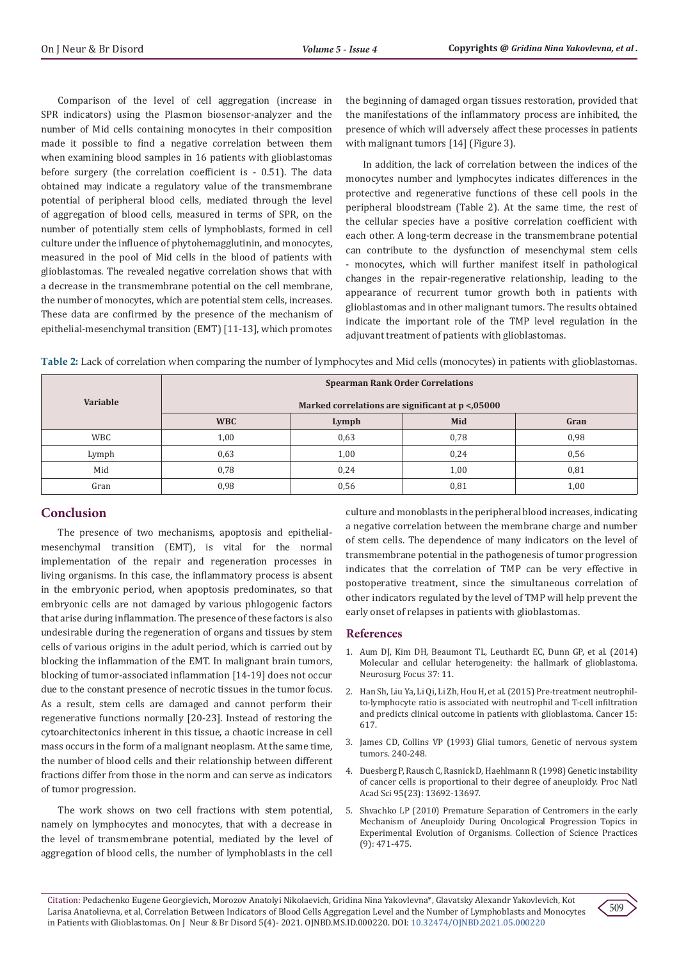Comparison of the level of cell aggregation (increase in SPR indicators) using the Plasmon biosensor-analyzer and the number of Mid cells containing monocytes in their composition made it possible to find a negative correlation between them when examining blood samples in 16 patients with glioblastomas before surgery (the correlation coefficient is - 0.51). The data obtained may indicate a regulatory value of the transmembrane potential of peripheral blood cells, mediated through the level of aggregation of blood cells, measured in terms of SPR, on the number of potentially stem cells of lymphoblasts, formed in cell culture under the influence of phytohemagglutinin, and monocytes, measured in the pool of Mid cells in the blood of patients with glioblastomas. The revealed negative correlation shows that with a decrease in the transmembrane potential on the cell membrane, the number of monocytes, which are potential stem cells, increases. These data are confirmed by the presence of the mechanism of epithelial-mesenchymal transition (EMT) [11-13], which promotes

the beginning of damaged organ tissues restoration, provided that the manifestations of the inflammatory process are inhibited, the presence of which will adversely affect these processes in patients with malignant tumors [14] (Figure 3).

In addition, the lack of correlation between the indices of the monocytes number and lymphocytes indicates differences in the protective and regenerative functions of these cell pools in the peripheral bloodstream (Table 2). At the same time, the rest of the cellular species have a positive correlation coefficient with each other. A long-term decrease in the transmembrane potential can contribute to the dysfunction of mesenchymal stem cells - monocytes, which will further manifest itself in pathological changes in the repair-regenerative relationship, leading to the appearance of recurrent tumor growth both in patients with glioblastomas and in other malignant tumors. The results obtained indicate the important role of the TMP level regulation in the adjuvant treatment of patients with glioblastomas.

**Table 2:** Lack of correlation when comparing the number of lymphocytes and Mid cells (monocytes) in patients with glioblastomas.

| Variable   | <b>Spearman Rank Order Correlations</b>          |       |      |      |
|------------|--------------------------------------------------|-------|------|------|
|            | Marked correlations are significant at p <,05000 |       |      |      |
|            | <b>WBC</b>                                       | Lymph | Mid  | Gran |
| <b>WBC</b> | 1,00                                             | 0,63  | 0,78 | 0,98 |
| Lymph      | 0.63                                             | 1,00  | 0,24 | 0,56 |
| Mid        | 0.78                                             | 0,24  | 1,00 | 0,81 |
| Gran       | 0,98                                             | 0,56  | 0,81 | 1,00 |

# **Conclusion**

The presence of two mechanisms, apoptosis and epithelialmesenchymal transition (EMT), is vital for the normal implementation of the repair and regeneration processes in living organisms. In this case, the inflammatory process is absent in the embryonic period, when apoptosis predominates, so that embryonic cells are not damaged by various phlogogenic factors that arise during inflammation. The presence of these factors is also undesirable during the regeneration of organs and tissues by stem cells of various origins in the adult period, which is carried out by blocking the inflammation of the EMT. In malignant brain tumors, blocking of tumor-associated inflammation [14-19] does not occur due to the constant presence of necrotic tissues in the tumor focus. As a result, stem cells are damaged and cannot perform their regenerative functions normally [20-23]. Instead of restoring the cytoarchitectonics inherent in this tissue, a chaotic increase in cell mass occurs in the form of a malignant neoplasm. At the same time, the number of blood cells and their relationship between different fractions differ from those in the norm and can serve as indicators of tumor progression.

The work shows on two cell fractions with stem potential, namely on lymphocytes and monocytes, that with a decrease in the level of transmembrane potential, mediated by the level of aggregation of blood cells, the number of lymphoblasts in the cell

culture and monoblasts in the peripheral blood increases, indicating a negative correlation between the membrane charge and number of stem cells. The dependence of many indicators on the level of transmembrane potential in the pathogenesis of tumor progression indicates that the correlation of TMP can be very effective in postoperative treatment, since the simultaneous correlation of other indicators regulated by the level of TMP will help prevent the early onset of relapses in patients with glioblastomas.

# **References**

- 1. [Aum DJ, Kim DH, Beaumont TL, Leuthardt EC, Dunn GP, et al. \(2014\)](https://pubmed.ncbi.nlm.nih.gov/25434380/) [Molecular and cellular heterogeneity: the hallmark of glioblastoma.](https://pubmed.ncbi.nlm.nih.gov/25434380/) [Neurosurg Focus 37: 11.](https://pubmed.ncbi.nlm.nih.gov/25434380/)
- 2. [Han Sh, Liu Ya, Li Qi, Li Zh, Hou H, et al. \(2015\) Pre-treatment neutrophil](https://pubmed.ncbi.nlm.nih.gov/26341881/)[to-lymphocyte ratio is associated with neutrophil and T-cell infiltration](https://pubmed.ncbi.nlm.nih.gov/26341881/) [and predicts clinical outcome in patients with glioblastoma. Cancer 15:](https://pubmed.ncbi.nlm.nih.gov/26341881/) [617.](https://pubmed.ncbi.nlm.nih.gov/26341881/)
- 3. James CD, Collins VP (1993) Glial tumors, Genetic of nervous system tumors. 240-248.
- 4. [Duesberg P, Rausch C, Rasnick D, Haehlmann R \(1998\) Genetic instability](https://pubmed.ncbi.nlm.nih.gov/9811862/) [of cancer cells is proportional to their degree of aneuploidy. Proc Natl](https://pubmed.ncbi.nlm.nih.gov/9811862/) [Acad Sci 95\(23\): 13692-13697.](https://pubmed.ncbi.nlm.nih.gov/9811862/)
- 5. Shvachko LP (2010) Premature Separation of Centromers in the early Mechanism of Aneuploidy During Oncological Progression Topics in Experimental Evolution of Organisms. Collection of Science Practices (9): 471-475.